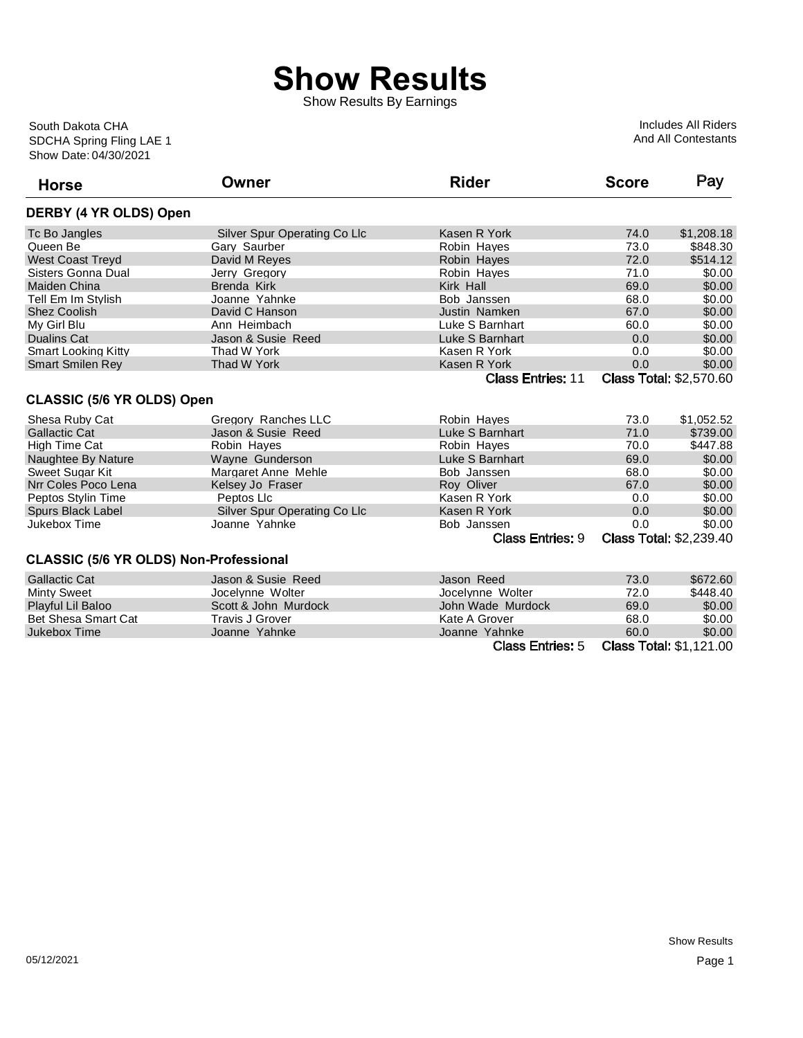## **Show Results**

Show Results By Earnings

Show Date: 04/30/2021 SDCHA Spring Fling LAE 1 South Dakota CHA

Includes All Riders And All Contestants

| <b>Horse</b>                                  | Owner                        | <b>Rider</b>             | <b>Score</b> | Pay                            |
|-----------------------------------------------|------------------------------|--------------------------|--------------|--------------------------------|
| DERBY (4 YR OLDS) Open                        |                              |                          |              |                                |
| Tc Bo Jangles                                 | Silver Spur Operating Co Llc | Kasen R York             | 74.0         | \$1,208.18                     |
| Queen Be                                      | Gary Saurber                 | Robin Hayes              | 73.0         | \$848.30                       |
| <b>West Coast Treyd</b>                       | David M Reyes                | Robin Hayes              | 72.0         | \$514.12                       |
| Sisters Gonna Dual                            | Jerry Gregory                | Robin Hayes              | 71.0         | \$0.00                         |
| <b>Maiden China</b>                           | <b>Brenda Kirk</b>           | Kirk Hall                | 69.0         | \$0.00                         |
| Tell Em Im Stylish                            | Joanne Yahnke                | Bob Janssen              | 68.0         | \$0.00                         |
| <b>Shez Coolish</b>                           | David C Hanson               | Justin Namken            | 67.0         | \$0.00                         |
| My Girl Blu                                   | Ann Heimbach                 | Luke S Barnhart          | 60.0         | \$0.00                         |
| <b>Dualins Cat</b>                            | Jason & Susie Reed           | Luke S Barnhart          | 0.0          | \$0.00                         |
| <b>Smart Looking Kitty</b>                    | Thad W York                  | Kasen R York             | 0.0          | \$0.00                         |
| <b>Smart Smilen Rey</b>                       | Thad W York                  | Kasen R York             | 0.0          | \$0.00                         |
|                                               |                              | <b>Class Entries: 11</b> |              | <b>Class Total: \$2,570.60</b> |
| <b>CLASSIC (5/6 YR OLDS) Open</b>             |                              |                          |              |                                |
| Shesa Ruby Cat                                | Gregory Ranches LLC          | Robin Hayes              | 73.0         | \$1,052.52                     |
| <b>Gallactic Cat</b>                          | Jason & Susie Reed           | Luke S Barnhart          | 71.0         | \$739.00                       |
| High Time Cat                                 | Robin Hayes                  | Robin Hayes              | 70.0         | \$447.88                       |
| Naughtee By Nature                            | Wayne Gunderson              | Luke S Barnhart          | 69.0         | \$0.00                         |
| Sweet Sugar Kit                               | Margaret Anne Mehle          | Bob Janssen              | 68.0         | \$0.00                         |
| Nrr Coles Poco Lena                           | Kelsey Jo Fraser             | Roy Oliver               | 67.0         | \$0.00                         |
| Peptos Stylin Time                            | Peptos Llc                   | Kasen R York             | 0.0          | \$0.00                         |
| Spurs Black Label                             | Silver Spur Operating Co Llc | Kasen R York             | 0.0          | \$0.00                         |
| Jukebox Time                                  | Joanne Yahnke                | Bob Janssen              | 0.0          | \$0.00                         |
|                                               |                              | <b>Class Entries: 9</b>  |              | <b>Class Total: \$2,239.40</b> |
| <b>CLASSIC (5/6 YR OLDS) Non-Professional</b> |                              |                          |              |                                |
| <b>Gallactic Cat</b>                          | Jason & Susie Reed           | Jason Reed               | 73.0         | \$672.60                       |
| <b>Minty Sweet</b>                            | Jocelynne Wolter             | Jocelynne Wolter         | 72.0         | \$448.40                       |
| Playful Lil Baloo                             | Scott & John Murdock         | John Wade Murdock        | 69.0         | \$0.00                         |
| <b>Bet Shesa Smart Cat</b>                    | <b>Travis J Grover</b>       | Kate A Grover            | 68.0         | \$0.00                         |
| Jukebox Time                                  | Joanne Yahnke                | Joanne Yahnke            | 60.0         | \$0.00                         |
|                                               |                              | <b>Class Entries: 5</b>  |              | <b>Class Total: \$1,121.00</b> |

**Class Total: \$1,121.00**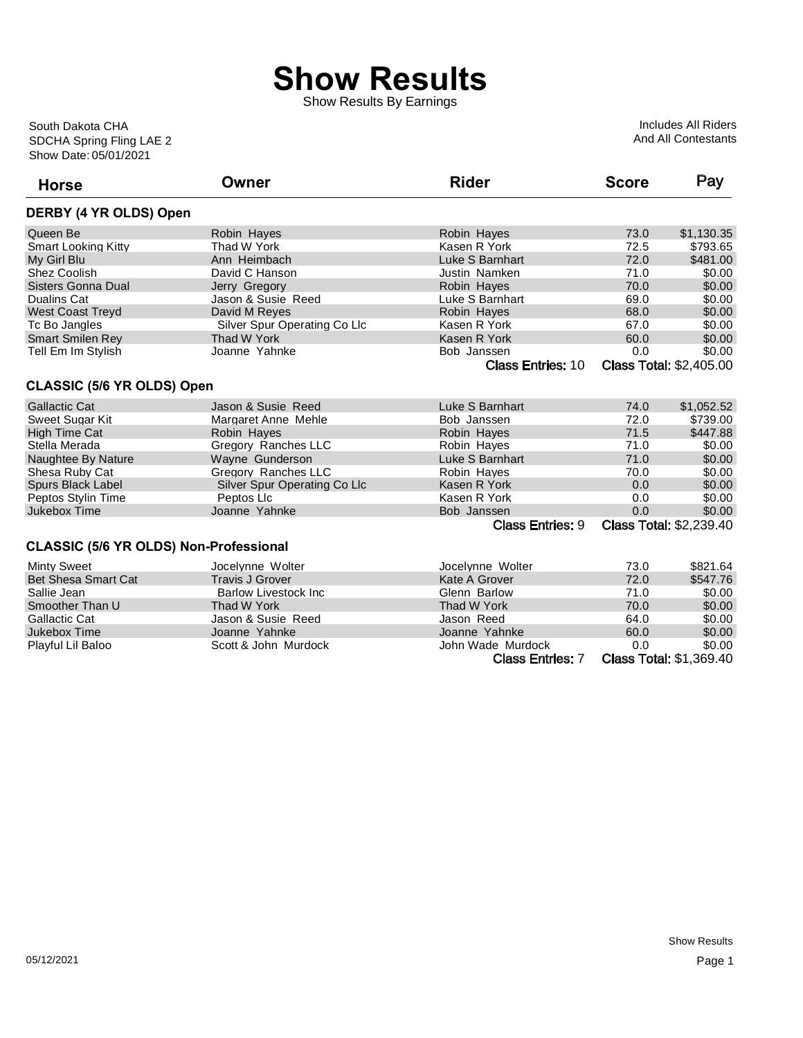## **Show Results**

Show Results By Earnings

Show Date: 05/01/2021 SDCHA Spring Fling LAE 2 South Dakota CHA

Includes All Riders And All Contestants

| <b>Horse</b>                                  | Owner                        | <b>Rider</b>             | <b>Score</b> | Pay                            |
|-----------------------------------------------|------------------------------|--------------------------|--------------|--------------------------------|
| DERBY (4 YR OLDS) Open                        |                              |                          |              |                                |
| Queen Be                                      | Robin Hayes                  | Robin Hayes              | 73.0         | \$1,130.35                     |
| <b>Smart Looking Kitty</b>                    | Thad W York                  | Kasen R York             | 72.5         | \$793.65                       |
| My Girl Blu                                   | Ann Heimbach                 | Luke S Barnhart          | 72.0         | \$481.00                       |
| Shez Coolish                                  | David C Hanson               | Justin Namken            | 71.0         | \$0.00                         |
| <b>Sisters Gonna Dual</b>                     | Jerry Gregory                | Robin Hayes              | 70.0         | \$0.00                         |
| <b>Dualins Cat</b>                            | Jason & Susie Reed           | Luke S Barnhart          | 69.0         | \$0.00                         |
| <b>West Coast Treyd</b>                       | David M Reyes                | Robin Hayes              | 68.0         | \$0.00                         |
| Tc Bo Jangles                                 | Silver Spur Operating Co Llc | Kasen R York             | 67.0         | \$0.00                         |
| <b>Smart Smilen Rey</b>                       | Thad W York                  | Kasen R York             | 60.0         | \$0.00                         |
| Tell Em Im Stylish                            | Joanne Yahnke                | Bob Janssen              | 0.0          | \$0.00                         |
|                                               |                              | <b>Class Entries: 10</b> |              | <b>Class Total: \$2,405.00</b> |
| <b>CLASSIC (5/6 YR OLDS) Open</b>             |                              |                          |              |                                |
| <b>Gallactic Cat</b>                          | Jason & Susie, Reed          | Luke S Barnhart          | 74.0         | \$1,052.52                     |
| Sweet Sugar Kit                               | Margaret Anne Mehle          | Bob Janssen              | 72.0         | \$739.00                       |
| <b>High Time Cat</b>                          | Robin Hayes                  | Robin Hayes              | 71.5         | \$447.88                       |
| Stella Merada                                 | Gregory Ranches LLC          | Robin Hayes              | 71.0         | \$0.00                         |
| Naughtee By Nature                            | Wayne Gunderson              | Luke S Barnhart          | 71.0         | \$0.00                         |
| Shesa Ruby Cat                                | Gregory Ranches LLC          | Robin Hayes              | 70.0         | \$0.00                         |
| Spurs Black Label                             | Silver Spur Operating Co Llc | Kasen R York             | 0.0          | \$0.00                         |
| Peptos Stylin Time                            | Peptos Llc                   | Kasen R York             | 0.0          | \$0.00                         |
| Jukebox Time                                  | Joanne Yahnke                | Bob Janssen              | 0.0          | \$0.00                         |
|                                               |                              | <b>Class Entries: 9</b>  |              | <b>Class Total: \$2,239.40</b> |
| <b>CLASSIC (5/6 YR OLDS) Non-Professional</b> |                              |                          |              |                                |
| <b>Minty Sweet</b>                            | Jocelynne Wolter             | Jocelynne Wolter         | 73.0         | \$821.64                       |
| <b>Bet Shesa Smart Cat</b>                    | <b>Travis J Grover</b>       | Kate A Grover            | 72.0         | \$547.76                       |
| Sallie Jean                                   | <b>Barlow Livestock Inc.</b> | Glenn Barlow             | 71.0         | \$0.00                         |
| Smoother Than U                               | Thad W York                  | Thad W York              | 70.0         | \$0.00                         |
| <b>Gallactic Cat</b>                          | Jason & Susie Reed           | Jason Reed               | 64.0         | \$0.00                         |
| Jukebox Time                                  | Joanne Yahnke                | Joanne Yahnke            | 60.0         | \$0.00                         |
| Playful Lil Baloo                             | Scott & John Murdock         | John Wade Murdock        | 0.0          | \$0.00                         |
|                                               |                              | <b>Class Entries: 7</b>  |              | <b>Class Total: \$1,369.40</b> |